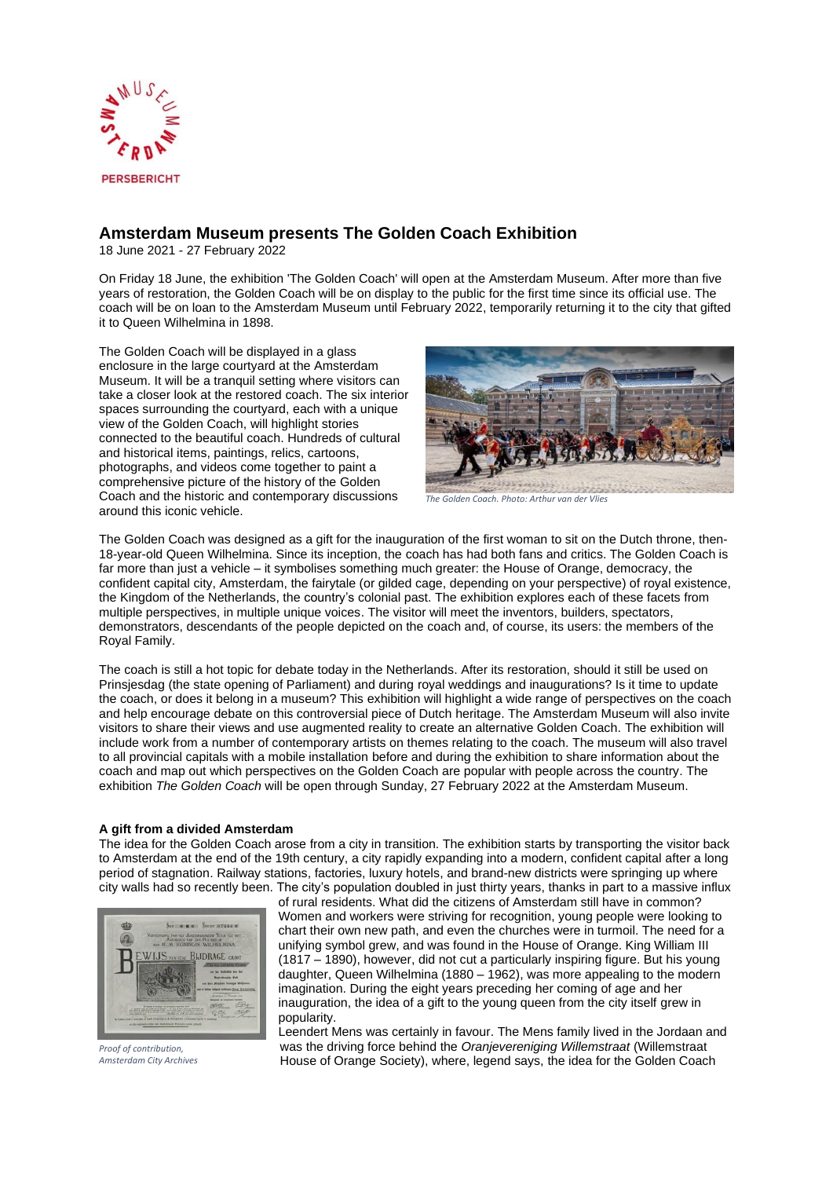

# **Amsterdam Museum presents The Golden Coach Exhibition**

18 June 2021 - 27 February 2022

On Friday 18 June, the exhibition 'The Golden Coach' will open at the Amsterdam Museum. After more than five years of restoration, the Golden Coach will be on display to the public for the first time since its official use. The coach will be on loan to the Amsterdam Museum until February 2022, temporarily returning it to the city that gifted it to Queen Wilhelmina in 1898.

The Golden Coach will be displayed in a glass enclosure in the large courtyard at the Amsterdam Museum. It will be a tranquil setting where visitors can take a closer look at the restored coach. The six interior spaces surrounding the courtyard, each with a unique view of the Golden Coach, will highlight stories connected to the beautiful coach. Hundreds of cultural and historical items, paintings, relics, cartoons, photographs, and videos come together to paint a comprehensive picture of the history of the Golden Coach and the historic and contemporary discussions around this iconic vehicle.



*The Golden Coach. Photo: Arthur van der Vlies*

The Golden Coach was designed as a gift for the inauguration of the first woman to sit on the Dutch throne, then-18-year-old Queen Wilhelmina. Since its inception, the coach has had both fans and critics. The Golden Coach is far more than just a vehicle – it symbolises something much greater: the House of Orange, democracy, the confident capital city, Amsterdam, the fairytale (or gilded cage, depending on your perspective) of royal existence, the Kingdom of the Netherlands, the country's colonial past. The exhibition explores each of these facets from multiple perspectives, in multiple unique voices. The visitor will meet the inventors, builders, spectators, demonstrators, descendants of the people depicted on the coach and, of course, its users: the members of the Royal Family.

The coach is still a hot topic for debate today in the Netherlands. After its restoration, should it still be used on Prinsjesdag (the state opening of Parliament) and during royal weddings and inaugurations? Is it time to update the coach, or does it belong in a museum? This exhibition will highlight a wide range of perspectives on the coach and help encourage debate on this controversial piece of Dutch heritage. The Amsterdam Museum will also invite visitors to share their views and use augmented reality to create an alternative Golden Coach. The exhibition will include work from a number of contemporary artists on themes relating to the coach. The museum will also travel to all provincial capitals with a mobile installation before and during the exhibition to share information about the coach and map out which perspectives on the Golden Coach are popular with people across the country. The exhibition *The Golden Coach* will be open through Sunday, 27 February 2022 at the Amsterdam Museum.

# **A gift from a divided Amsterdam**

The idea for the Golden Coach arose from a city in transition. The exhibition starts by transporting the visitor back to Amsterdam at the end of the 19th century, a city rapidly expanding into a modern, confident capital after a long period of stagnation. Railway stations, factories, luxury hotels, and brand-new districts were springing up where city walls had so recently been. The city's population doubled in just thirty years, thanks in part to a massive influx



*Proof of contribution, Amsterdam City Archives*

of rural residents. What did the citizens of Amsterdam still have in common? Women and workers were striving for recognition, young people were looking to chart their own new path, and even the churches were in turmoil. The need for a unifying symbol grew, and was found in the House of Orange. King William III (1817 – 1890), however, did not cut a particularly inspiring figure. But his young daughter, Queen Wilhelmina (1880 – 1962), was more appealing to the modern imagination. During the eight years preceding her coming of age and her inauguration, the idea of a gift to the young queen from the city itself grew in popularity.

Leendert Mens was certainly in favour. The Mens family lived in the Jordaan and was the driving force behind the *Oranjevereniging Willemstraat* (Willemstraat House of Orange Society), where, legend says, the idea for the Golden Coach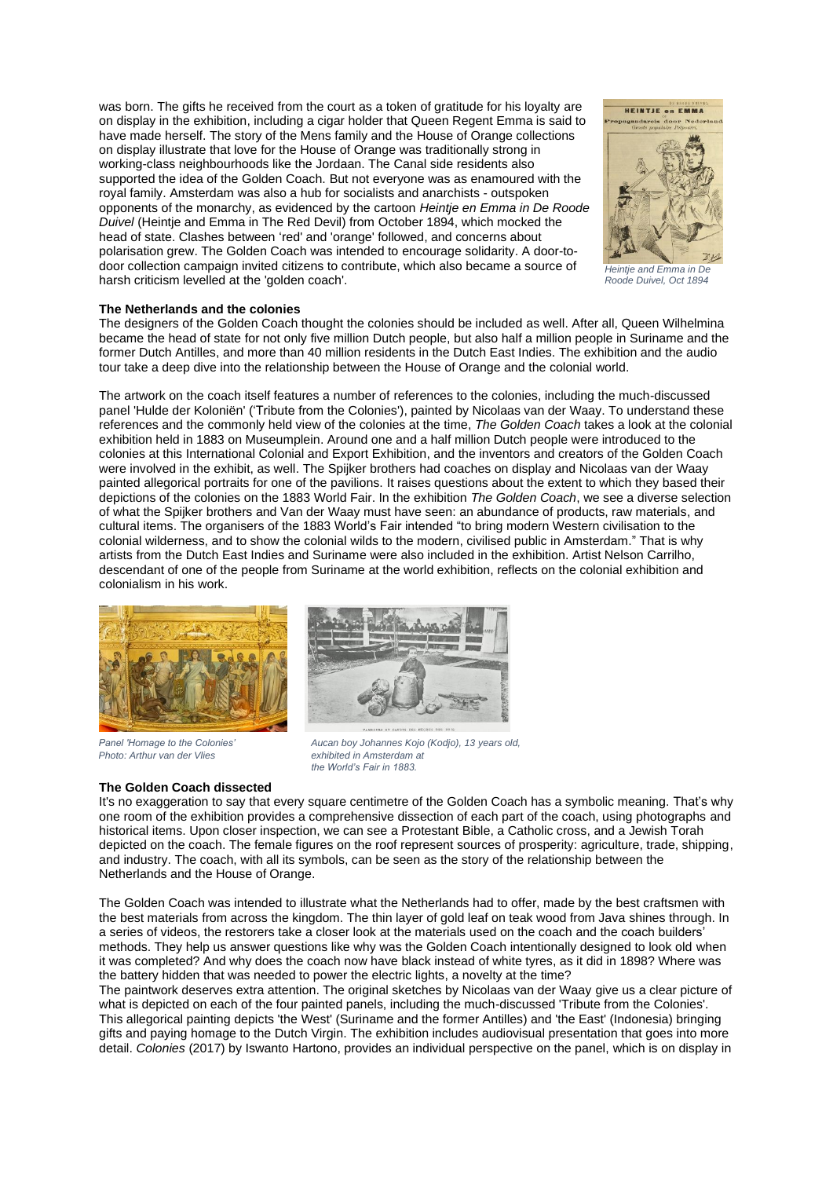was born. The gifts he received from the court as a token of gratitude for his loyalty are on display in the exhibition, including a cigar holder that Queen Regent Emma is said to have made herself. The story of the Mens family and the House of Orange collections on display illustrate that love for the House of Orange was traditionally strong in working-class neighbourhoods like the Jordaan. The Canal side residents also supported the idea of the Golden Coach. But not everyone was as enamoured with the royal family. Amsterdam was also a hub for socialists and anarchists - outspoken opponents of the monarchy, as evidenced by the cartoon *Heintje en Emma in De Roode Duivel* (Heintje and Emma in The Red Devil) from October 1894, which mocked the head of state. Clashes between 'red' and 'orange' followed, and concerns about polarisation grew. The Golden Coach was intended to encourage solidarity. A door-todoor collection campaign invited citizens to contribute, which also became a source of harsh criticism levelled at the 'golden coach'.



*Heintje and Emma in De Roode Duivel, Oct 1894*

## **The Netherlands and the colonies**

The designers of the Golden Coach thought the colonies should be included as well. After all, Queen Wilhelmina became the head of state for not only five million Dutch people, but also half a million people in Suriname and the former Dutch Antilles, and more than 40 million residents in the Dutch East Indies. The exhibition and the audio tour take a deep dive into the relationship between the House of Orange and the colonial world.

The artwork on the coach itself features a number of references to the colonies, including the much-discussed panel 'Hulde der Koloniën' ('Tribute from the Colonies'), painted by Nicolaas van der Waay. To understand these references and the commonly held view of the colonies at the time, *The Golden Coach* takes a look at the colonial exhibition held in 1883 on Museumplein. Around one and a half million Dutch people were introduced to the colonies at this International Colonial and Export Exhibition, and the inventors and creators of the Golden Coach were involved in the exhibit, as well. The Spijker brothers had coaches on display and Nicolaas van der Waay painted allegorical portraits for one of the pavilions. It raises questions about the extent to which they based their depictions of the colonies on the 1883 World Fair. In the exhibition *The Golden Coach*, we see a diverse selection of what the Spijker brothers and Van der Waay must have seen: an abundance of products, raw materials, and cultural items. The organisers of the 1883 World's Fair intended "to bring modern Western civilisation to the colonial wilderness, and to show the colonial wilds to the modern, civilised public in Amsterdam." That is why artists from the Dutch East Indies and Suriname were also included in the exhibition. Artist Nelson Carrilho, descendant of one of the people from Suriname at the world exhibition, reflects on the colonial exhibition and colonialism in his work.



*Panel 'Homage to the Colonies' Photo: Arthur van der Vlies*

## **The Golden Coach dissected**



*Aucan boy Johannes Kojo (Kodjo), 13 years old,*

*exhibited in Amsterdam at the World's Fair in 1883.*

It's no exaggeration to say that every square centimetre of the Golden Coach has a symbolic meaning. That's why one room of the exhibition provides a comprehensive dissection of each part of the coach, using photographs and historical items. Upon closer inspection, we can see a Protestant Bible, a Catholic cross, and a Jewish Torah depicted on the coach. The female figures on the roof represent sources of prosperity: agriculture, trade, shipping, and industry. The coach, with all its symbols, can be seen as the story of the relationship between the Netherlands and the House of Orange.

The Golden Coach was intended to illustrate what the Netherlands had to offer, made by the best craftsmen with the best materials from across the kingdom. The thin layer of gold leaf on teak wood from Java shines through. In a series of videos, the restorers take a closer look at the materials used on the coach and the coach builders' methods. They help us answer questions like why was the Golden Coach intentionally designed to look old when it was completed? And why does the coach now have black instead of white tyres, as it did in 1898? Where was the battery hidden that was needed to power the electric lights, a novelty at the time?

The paintwork deserves extra attention. The original sketches by Nicolaas van der Waay give us a clear picture of what is depicted on each of the four painted panels, including the much-discussed 'Tribute from the Colonies'. This allegorical painting depicts 'the West' (Suriname and the former Antilles) and 'the East' (Indonesia) bringing gifts and paying homage to the Dutch Virgin. The exhibition includes audiovisual presentation that goes into more detail. *Colonies* (2017) by Iswanto Hartono, provides an individual perspective on the panel, which is on display in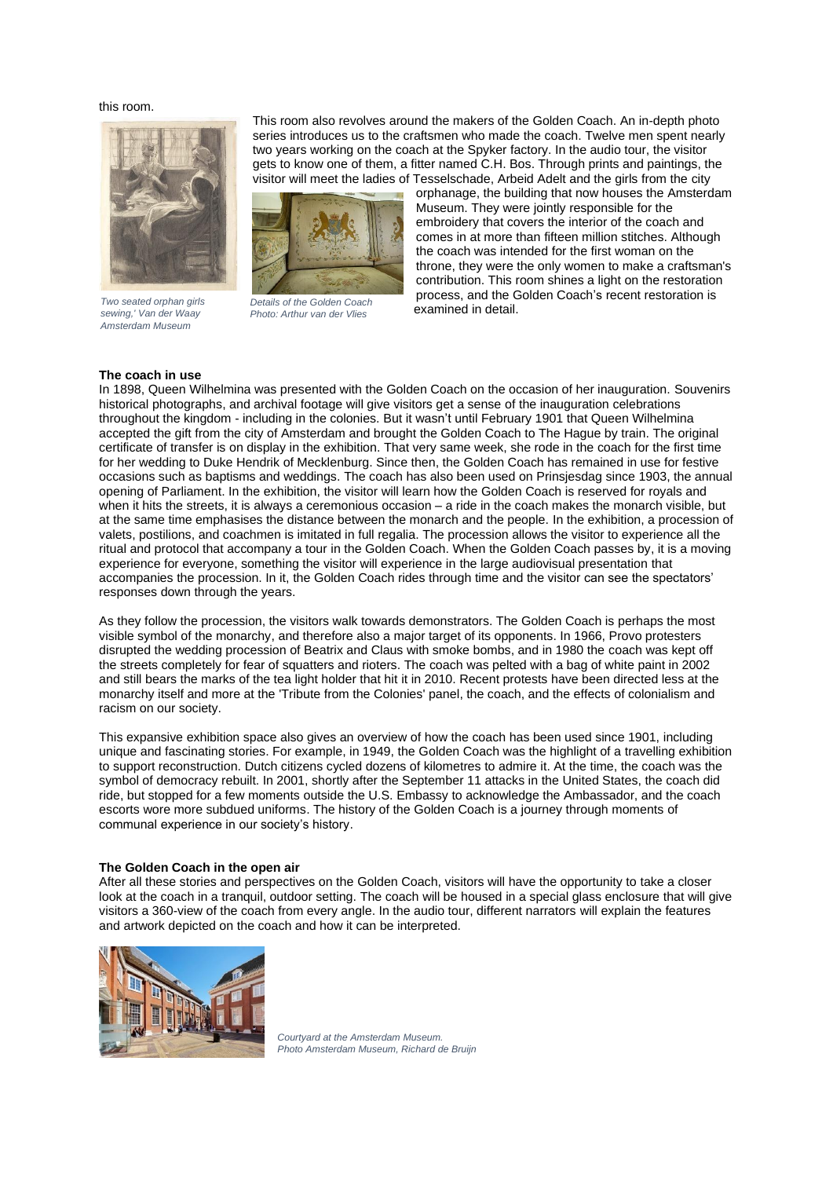### this room.



*Two seated orphan girls sewing,' Van der Waay Amsterdam Museum* 

This room also revolves around the makers of the Golden Coach. An in-depth photo series introduces us to the craftsmen who made the coach. Twelve men spent nearly two years working on the coach at the Spyker factory. In the audio tour, the visitor gets to know one of them, a fitter named C.H. Bos. Through prints and paintings, the visitor will meet the ladies of Tesselschade, Arbeid Adelt and the girls from the city



*Details of the Golden Coach Photo: Arthur van der Vlies*

orphanage, the building that now houses the Amsterdam Museum. They were jointly responsible for the embroidery that covers the interior of the coach and comes in at more than fifteen million stitches. Although the coach was intended for the first woman on the throne, they were the only women to make a craftsman's contribution. This room shines a light on the restoration process, and the Golden Coach's recent restoration is examined in detail.

#### **The coach in use**

In 1898, Queen Wilhelmina was presented with the Golden Coach on the occasion of her inauguration. Souvenirs historical photographs, and archival footage will give visitors get a sense of the inauguration celebrations throughout the kingdom - including in the colonies. But it wasn't until February 1901 that Queen Wilhelmina accepted the gift from the city of Amsterdam and brought the Golden Coach to The Hague by train. The original certificate of transfer is on display in the exhibition. That very same week, she rode in the coach for the first time for her wedding to Duke Hendrik of Mecklenburg. Since then, the Golden Coach has remained in use for festive occasions such as baptisms and weddings. The coach has also been used on Prinsjesdag since 1903, the annual opening of Parliament. In the exhibition, the visitor will learn how the Golden Coach is reserved for royals and when it hits the streets, it is always a ceremonious occasion – a ride in the coach makes the monarch visible, but at the same time emphasises the distance between the monarch and the people. In the exhibition, a procession of valets, postilions, and coachmen is imitated in full regalia. The procession allows the visitor to experience all the ritual and protocol that accompany a tour in the Golden Coach. When the Golden Coach passes by, it is a moving experience for everyone, something the visitor will experience in the large audiovisual presentation that accompanies the procession. In it, the Golden Coach rides through time and the visitor can see the spectators' responses down through the years.

As they follow the procession, the visitors walk towards demonstrators. The Golden Coach is perhaps the most visible symbol of the monarchy, and therefore also a major target of its opponents. In 1966, Provo protesters disrupted the wedding procession of Beatrix and Claus with smoke bombs, and in 1980 the coach was kept off the streets completely for fear of squatters and rioters. The coach was pelted with a bag of white paint in 2002 and still bears the marks of the tea light holder that hit it in 2010. Recent protests have been directed less at the monarchy itself and more at the 'Tribute from the Colonies' panel, the coach, and the effects of colonialism and racism on our society.

This expansive exhibition space also gives an overview of how the coach has been used since 1901, including unique and fascinating stories. For example, in 1949, the Golden Coach was the highlight of a travelling exhibition to support reconstruction. Dutch citizens cycled dozens of kilometres to admire it. At the time, the coach was the symbol of democracy rebuilt. In 2001, shortly after the September 11 attacks in the United States, the coach did ride, but stopped for a few moments outside the U.S. Embassy to acknowledge the Ambassador, and the coach escorts wore more subdued uniforms. The history of the Golden Coach is a journey through moments of communal experience in our society's history.

## **The Golden Coach in the open air**

After all these stories and perspectives on the Golden Coach, visitors will have the opportunity to take a closer look at the coach in a tranquil, outdoor setting. The coach will be housed in a special glass enclosure that will give visitors a 360-view of the coach from every angle. In the audio tour, different narrators will explain the features and artwork depicted on the coach and how it can be interpreted.



*Courtyard at the Amsterdam Museum. Photo Amsterdam Museum, Richard de Bruijn*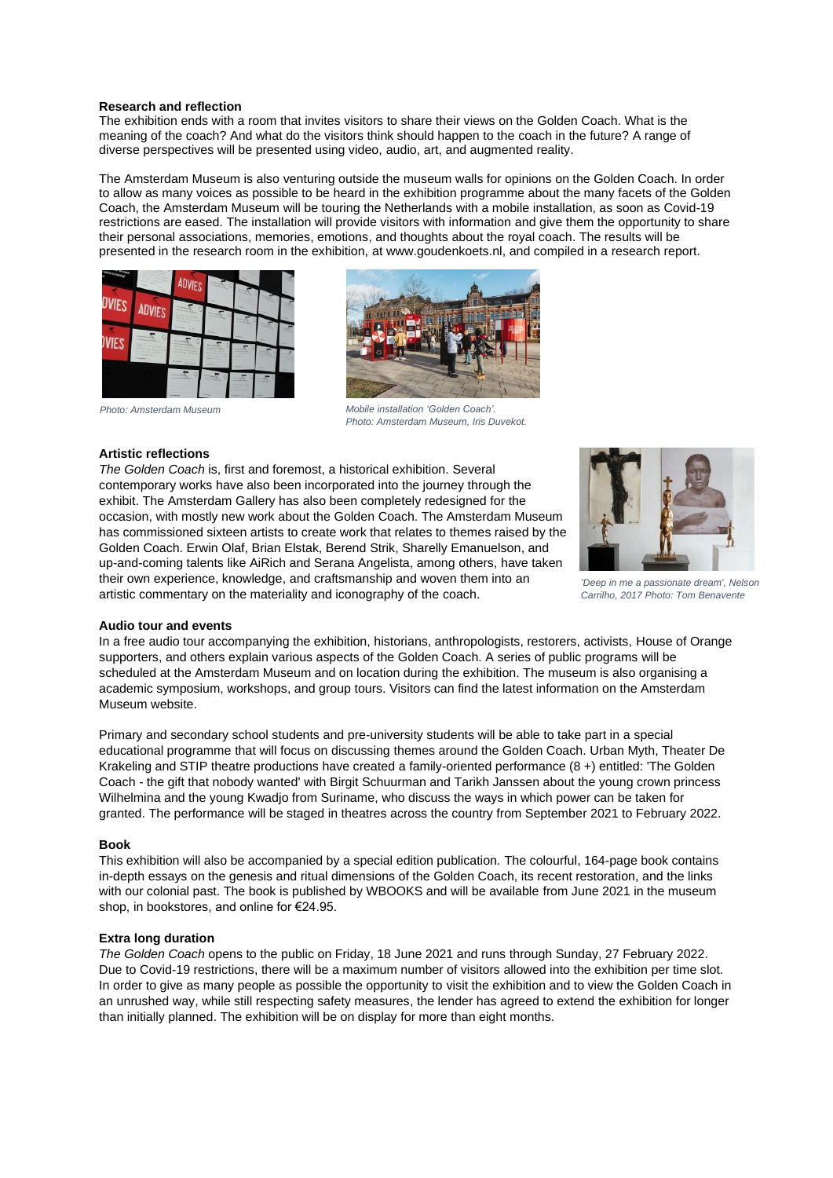## **Research and reflection**

The exhibition ends with a room that invites visitors to share their views on the Golden Coach. What is the meaning of the coach? And what do the visitors think should happen to the coach in the future? A range of diverse perspectives will be presented using video, audio, art, and augmented reality.

The Amsterdam Museum is also venturing outside the museum walls for opinions on the Golden Coach. In order to allow as many voices as possible to be heard in the exhibition programme about the many facets of the Golden Coach, the Amsterdam Museum will be touring the Netherlands with a mobile installation, as soon as Covid-19 restrictions are eased. The installation will provide visitors with information and give them the opportunity to share their personal associations, memories, emotions, and thoughts about the royal coach. The results will be presented in the research room in the exhibition, at www.goudenkoets.nl, and compiled in a research report.





*Mobile installation 'Golden Coach'. Photo: Amsterdam Museum, Iris Duvekot.*

# *Photo: Amsterdam Museum*

# **Artistic reflections**

*The Golden Coach* is, first and foremost, a historical exhibition. Several contemporary works have also been incorporated into the journey through the exhibit. The Amsterdam Gallery has also been completely redesigned for the occasion, with mostly new work about the Golden Coach. The Amsterdam Museum has commissioned sixteen artists to create work that relates to themes raised by the Golden Coach. Erwin Olaf, Brian Elstak, Berend Strik, Sharelly Emanuelson, and up-and-coming talents like AiRich and Serana Angelista, among others, have taken their own experience, knowledge, and craftsmanship and woven them into an artistic commentary on the materiality and iconography of the coach.



*'Deep in me a passionate dream', Nelson Carrilho, 2017 Photo: Tom Benavente*

#### **Audio tour and events**

In a free audio tour accompanying the exhibition, historians, anthropologists, restorers, activists, House of Orange supporters, and others explain various aspects of the Golden Coach. A series of public programs will be scheduled at the Amsterdam Museum and on location during the exhibition. The museum is also organising a academic symposium, workshops, and group tours. Visitors can find the latest information on the Amsterdam Museum website.

Primary and secondary school students and pre-university students will be able to take part in a special educational programme that will focus on discussing themes around the Golden Coach. Urban Myth, Theater De Krakeling and STIP theatre productions have created a family-oriented performance (8 +) entitled: 'The Golden Coach - the gift that nobody wanted' with Birgit Schuurman and Tarikh Janssen about the young crown princess Wilhelmina and the young Kwadjo from Suriname, who discuss the ways in which power can be taken for granted. The performance will be staged in theatres across the country from September 2021 to February 2022.

#### **Book**

This exhibition will also be accompanied by a special edition publication. The colourful, 164-page book contains in-depth essays on the genesis and ritual dimensions of the Golden Coach, its recent restoration, and the links with our colonial past. The book is published by WBOOKS and will be available from June 2021 in the museum shop, in bookstores, and online for €24.95.

#### **Extra long duration**

*The Golden Coach* opens to the public on Friday, 18 June 2021 and runs through Sunday, 27 February 2022. Due to Covid-19 restrictions, there will be a maximum number of visitors allowed into the exhibition per time slot. In order to give as many people as possible the opportunity to visit the exhibition and to view the Golden Coach in an unrushed way, while still respecting safety measures, the lender has agreed to extend the exhibition for longer than initially planned. The exhibition will be on display for more than eight months.